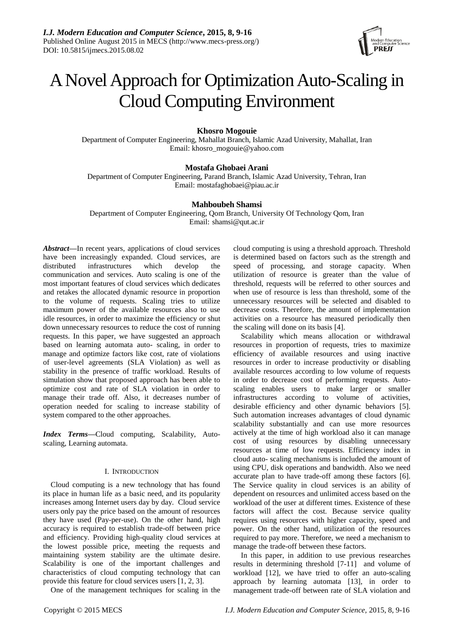

# A Novel Approach for Optimization Auto-Scaling in Cloud Computing Environment

**Khosro Mogouie**

Department of Computer Engineering, Mahallat Branch, Islamic Azad University, Mahallat, Iran Email: khosro\_mogouie@yahoo.com

# **Mostafa Ghobaei Arani**

Department of Computer Engineering, Parand Branch, Islamic Azad University, Tehran, Iran Email: [mostafaghobaei@piau.ac.ir](mailto:mostafaghobaei@piau.ac.ir)

# **Mahboubeh Shamsi**

Department of Computer Engineering, Qom Branch, University Of Technology Qom, Iran Email: shamsi@qut.ac.ir

*Abstract—*In recent years, applications of cloud services have been increasingly expanded. Cloud services, are distributed infrastructures which develop the distributed infrastructures which develop the communication and services. Auto scaling is one of the most important features of cloud services which dedicates and retakes the allocated dynamic resource in proportion to the volume of requests. Scaling tries to utilize maximum power of the available resources also to use idle resources, in order to maximize the efficiency or shut down unnecessary resources to reduce the cost of running requests. In this paper, we have suggested an approach based on learning automata auto- scaling, in order to manage and optimize factors like cost, rate of violations of user-level agreements (SLA Violation) as well as stability in the presence of traffic workload. Results of simulation show that proposed approach has been able to optimize cost and rate of SLA violation in order to manage their trade off. Also, it decreases number of operation needed for scaling to increase stability of system compared to the other approaches.

*Index Terms***—**Cloud computing, Scalability, Autoscaling, Learning automata.

# I. INTRODUCTION

Cloud computing is a new technology that has found its place in human life as a basic need, and its popularity increases among Internet users day by day. Cloud service users only pay the price based on the amount of resources they have used (Pay-per-use). On the other hand, high accuracy is required to establish trade-off between price and efficiency. Providing high-quality cloud services at the lowest possible price, meeting the requests and maintaining system stability are the ultimate desire. Scalability is one of the important challenges and characteristics of cloud computing technology that can provide this feature for cloud services users [1, 2, 3].

One of the management techniques for scaling in the

cloud computing is using a threshold approach. Threshold is determined based on factors such as the strength and speed of processing, and storage capacity. When utilization of resource is greater than the value of threshold, requests will be referred to other sources and when use of resource is less than threshold, some of the unnecessary resources will be selected and disabled to decrease costs. Therefore, the amount of implementation activities on a resource has measured periodically then the scaling will done on its basis [4].

Scalability which means allocation or withdrawal resources in proportion of requests, tries to maximize efficiency of available resources and using inactive resources in order to increase productivity or disabling available resources according to low volume of requests in order to decrease cost of performing requests. Autoscaling enables users to make larger or smaller infrastructures according to volume of activities, desirable efficiency and other dynamic behaviors [5]. Such automation increases advantages of cloud dynamic scalability substantially and can use more resources actively at the time of high workload also it can manage cost of using resources by disabling unnecessary resources at time of low requests. Efficiency index in cloud auto- scaling mechanisms is included the amount of using CPU, disk operations and bandwidth. Also we need accurate plan to have trade-off among these factors [6]. The Service quality in cloud services is an ability of dependent on resources and unlimited access based on the workload of the user at different times. Existence of these factors will affect the cost. Because service quality requires using resources with higher capacity, speed and power. On the other hand, utilization of the resources required to pay more. Therefore, we need a mechanism to manage the trade-off between these factors.

In this paper, in addition to use previous researches results in determining threshold [7-11] and volume of workload [12], we have tried to offer an auto-scaling approach by learning automata [13], in order to management trade-off between rate of SLA violation and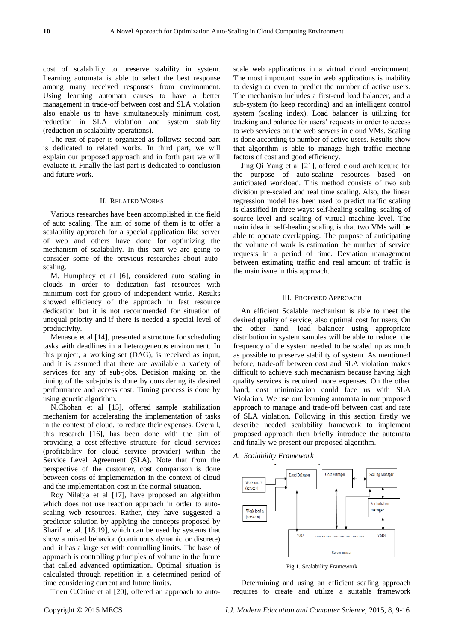cost of scalability to preserve stability in system. Learning automata is able to select the best response among many received responses from environment. Using learning automata causes to have a better management in trade-off between cost and SLA violation also enable us to have simultaneously minimum cost, reduction in SLA violation and system stability (reduction in scalability operations).

The rest of paper is organized as follows: second part is dedicated to related works. In third part, we will explain our proposed approach and in forth part we will evaluate it. Finally the last part is dedicated to conclusion and future work.

#### II. RELATED WORKS

Various researches have been accomplished in the field of auto scaling. The aim of some of them is to offer a scalability approach for a special application like server of web and others have done for optimizing the mechanism of scalability. In this part we are going to consider some of the previous researches about autoscaling.

M. Humphrey et al [6], considered auto scaling in clouds in order to dedication fast resources with minimum cost for group of independent works. Results showed efficiency of the approach in fast resource dedication but it is not recommended for situation of unequal priority and if there is needed a special level of productivity.

Menasce et al [14], presented a structure for scheduling tasks with deadlines in a heterogeneous environment. In this project, a working set (DAG), is received as input, and it is assumed that there are available a variety of services for any of sub-jobs. Decision making on the timing of the sub-jobs is done by considering its desired performance and access cost. Timing process is done by using genetic algorithm.

N.Chohan et al [15], offered sample stabilization mechanism for accelerating the implementation of tasks in the context of cloud, to reduce their expenses. Overall, this research [16], has been done with the aim of providing a cost-effective structure for cloud services (profitability for cloud service provider) within the Service Level Agreement (SLA). Note that from the perspective of the customer, cost comparison is done between costs of implementation in the context of cloud and the implementation cost in the normal situation.

Roy Nilabja et al [17], have proposed an algorithm which does not use reaction approach in order to autoscaling web resources. Rather, they have suggested a predictor solution by applying the concepts proposed by Sharif et al. [18.19], which can be used by systems that show a mixed behavior (continuous dynamic or discrete) and it has a large set with controlling limits. The base of approach is controlling principles of volume in the future that called advanced optimization. Optimal situation is calculated through repetition in a determined period of time considering current and future limits.

Trieu C.Chiue et al [20], offered an approach to auto-

scale web applications in a virtual cloud environment. The most important issue in web applications is inability to design or even to predict the number of active users. The mechanism includes a first-end load balancer, and a sub-system (to keep recording) and an intelligent control system (scaling index). Load balancer is utilizing for tracking and balance for users' requests in order to access to web services on the web servers in cloud VMs. Scaling is done according to number of active users. Results show that algorithm is able to manage high traffic meeting factors of cost and good efficiency.

Jing Qi Yang et al [21], offered cloud architecture for the purpose of auto-scaling resources based on anticipated workload. This method consists of two sub division pre-scaled and real time scaling. Also, the linear regression model has been used to predict traffic scaling is classified in three ways: self-healing scaling, scaling of source level and scaling of virtual machine level. The main idea in self-healing scaling is that two VMs will be able to operate overlapping. The purpose of anticipating the volume of work is estimation the number of service requests in a period of time. Deviation management between estimating traffic and real amount of traffic is the main issue in this approach.

### III. PROPOSED APPROACH

An efficient Scalable mechanism is able to meet the desired quality of service, also optimal cost for users, On the other hand, load balancer using appropriate distribution in system samples will be able to reduce the frequency of the system needed to be scaled up as much as possible to preserve stability of system. As mentioned before, trade-off between cost and SLA violation makes difficult to achieve such mechanism because having high quality services is required more expenses. On the other hand, cost minimization could face us with SLA Violation. We use our learning automata in our proposed approach to manage and trade-off between cost and rate of SLA violation. Following in this section firstly we describe needed scalability framework to implement proposed approach then briefly introduce the automata and finally we present our proposed algorithm.

*A. Scalability Framework*



Fig.1. Scalability Framework

Determining and using an efficient scaling approach requires to create and utilize a suitable framework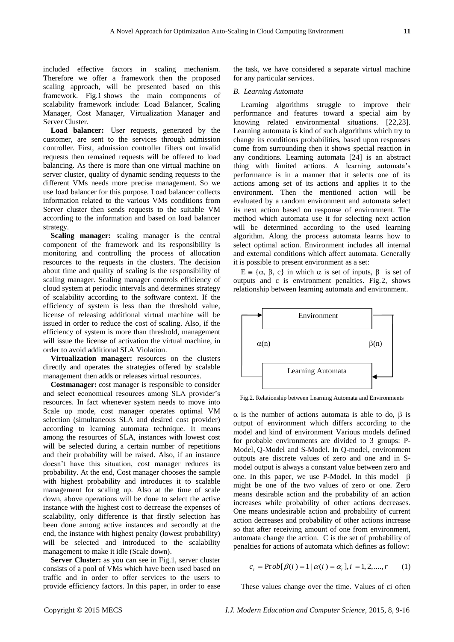included effective factors in scaling mechanism. Therefore we offer a framework then the proposed scaling approach, will be presented based on this framework. Fig.1 shows the main components of scalability framework include: Load Balancer, Scaling Manager, Cost Manager, Virtualization Manager and Server Cluster.

**Load balancer:** User requests, generated by the customer, are sent to the services through admission controller. First, admission controller filters out invalid requests then remained requests will be offered to load balancing. As there is more than one virtual machine on server cluster, quality of dynamic sending requests to the different VMs needs more precise management. So we use load balancer for this purpose. Load balancer collects information related to the various VMs conditions from Server cluster then sends requests to the suitable VM according to the information and based on load balancer strategy.

**Scaling manager:** scaling manager is the central component of the framework and its responsibility is monitoring and controlling the process of allocation resources to the requests in the clusters. The decision about time and quality of scaling is the responsibility of scaling manager. Scaling manager controls efficiency of cloud system at periodic intervals and determines strategy of scalability according to the software context. If the efficiency of system is less than the threshold value, license of releasing additional virtual machine will be issued in order to reduce the cost of scaling. Also, if the efficiency of system is more than threshold, management will issue the license of activation the virtual machine, in order to avoid additional SLA Violation.

**Virtualization manager:** resources on the clusters directly and operates the strategies offered by scalable management then adds or releases virtual resources.

**Costmanager:** cost manager is responsible to consider and select economical resources among SLA provider's resources. In fact whenever system needs to move into Scale up mode, cost manager operates optimal VM selection (simultaneous SLA and desired cost provider) according to learning automata technique. It means among the resources of SLA, instances with lowest cost will be selected during a certain number of repetitions and their probability will be raised. Also, if an instance doesn't have this situation, cost manager reduces its probability. At the end, Cost manager chooses the sample with highest probability and introduces it to scalable management for scaling up. Also at the time of scale down, above operations will be done to select the active instance with the highest cost to decrease the expenses of scalability, only difference is that firstly selection has been done among active instances and secondly at the end, the instance with highest penalty (lowest probability) will be selected and introduced to the scalability management to make it idle (Scale down).

**Server Cluster:** as you can see in Fig.1, server cluster consists of a pool of VMs which have been used based on traffic and in order to offer services to the users to provide efficiency factors. In this paper, in order to ease the task, we have considered a separate virtual machine for any particular services.

#### *B. Learning Automata*

Learning algorithms struggle to improve their performance and features toward a special aim by knowing related environmental situations. [22,23]. Learning automata is kind of such algorithms which try to change its conditions probabilities, based upon responses come from surrounding then it shows special reaction in any conditions. Learning automata [24] is an abstract thing with limited actions. A learning automata's performance is in a manner that it selects one of its actions among set of its actions and applies it to the environment. Then the mentioned action will be evaluated by a random environment and automata select its next action based on response of environment. The method which automata use it for selecting next action will be determined according to the used learning algorithm. Along the process automata learns how to select optimal action. Environment includes all internal and external conditions which affect automata. Generally it is possible to present environment as a set:

 $E = \{\alpha, \beta, c\}$  in which  $\alpha$  is set of inputs,  $\beta$  is set of outputs and c is environment penalties. Fig.2, shows relationship between learning automata and environment.



Fig.2. Relationship between Learning Automata and Environments

 $\alpha$  is the number of actions automata is able to do,  $\beta$  is output of environment which differs according to the model and kind of environment Various models defined for probable environments are divided to 3 groups: P-Model, Q-Model and S-Model. In Q-model, environment outputs are discrete values of zero and one and in Smodel output is always a constant value between zero and one. In this paper, we use P-Model. In this model  $\beta$ might be one of the two values of zero or one. Zero means desirable action and the probability of an action increases while probability of other actions decreases. One means undesirable action and probability of current action decreases and probability of other actions increase so that after receiving amount of one from environment, automata change the action. C is the set of probability of penalties for actions of automata which defines as follow:

$$
c_i = \text{Prob}[\beta(i) = 1 | \alpha(i) = \alpha_i], i = 1, 2, \dots, r \tag{1}
$$

These values change over the time. Values of ci often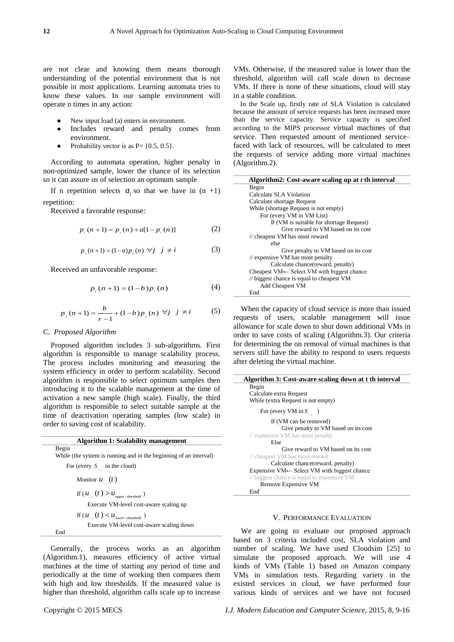are not clear and knowing them means thorough understanding of the potential environment that is not possible in most applications. Learning automata tries to know these values. In our sample environment will operate n times in any action:

- New input load (a) enters in environment.
- Includes reward and penalty comes from environment.
- Probability vector is as  $P = \{0.5, 0.5\}.$

According to automata operation, higher penalty in non-optimized sample, lower the chance of its selection so it can assure us of selection an optimum sample

If n repetition selects  $a_i$  so that we have in  $(n +1)$ repetition:

Received a favorable response:

$$
p_i(n+1) = p_i(n) + a[1 - p_i(n)]
$$
 (2)

$$
p_j(n+1) = (1-a)p_j(n) \; \forall j \; j \neq i
$$
 (3)

Received an unfavorable response:

$$
p_i(n+1) = (1-b)p_i(n)
$$
 (4)

$$
p_j(n+1) = \frac{b}{r-1} + (1-b)p_j(n) \ \forall j \ j \neq i \tag{5}
$$

# *C. Proposed Algorithm*

Proposed algorithm includes 3 sub-algorithms. First algorithm is responsible to manage scalability process. The process includes monitoring and measuring the system efficiency in order to perform scalability. Second algorithm is responsible to select optimum samples then introducing it to the scalable management at the time of activation a new sample (high scale). Finally, the third algorithm is responsible to select suitable sample at the time of deactivation operating samples (low scale) in order to saving cost of scalability.

| Algorithm 1: Scalability management                               |
|-------------------------------------------------------------------|
| Begin                                                             |
| While (the system is running and in the beginning of an interval) |
| For (every $S_{\perp}$ in the cloud)                              |
| Monitor $u_{\mu}(t)$                                              |
| If $(u_{i}^{\dagger},(t))>u_{\text{upper-threshold}}$             |
| Execute VM-level cost-aware scaling up                            |
| If $(u_{i}^{\dagger}(t) < u_{lower-threshold}^{\dagger})$         |
| Execute VM-level cost-aware scaling down                          |
| End                                                               |

Generally, the process works as an algorithm (Algorithm.1), measures efficiency of active virtual machines at the time of starting any period of time and periodically at the time of working then compares them with high and low thresholds. If the measured value is higher than threshold, algorithm calls scale up to increase

VMs. Otherwise, if the measured value is lower than the threshold, algorithm will call scale down to decrease VMs. If there is none of these situations, cloud will stay in a stable condition.

In the Scale up, firstly rate of SLA Violation is calculated because the amount of service requests has been increased more than the service capacity. Service capacity is specified according to the MIPS processor virtual machines of that service. Then requested amount of mentioned service– faced with lack of resources, will be calculated to meet the requests of service adding more virtual machines (Algorithm.2).

| Algorithm2: Cost-aware scaling up at t th interval     |
|--------------------------------------------------------|
| Begin                                                  |
| Calculate SLA Violation                                |
| Calculate shortage Request                             |
| While (shortage Request is not empty)                  |
| For (every VM in VM List)                              |
| If (VM is suitable for shortage Request)               |
| Give reward to VM based on its cost                    |
| // cheapest VM has most reward                         |
| else                                                   |
| Give penalty to VM based on its cost                   |
| $\frac{1}{2}$ expensive VM has most penalty            |
| Calculate chance (reward, penalty)                     |
| Cheapest $VM \leftarrow$ Select VM with biggest chance |
| // biggest chance is equal to cheapest VM              |
| <b>Add Cheapest VM</b>                                 |
| End                                                    |

When the capacity of cloud service is more than issued requests of users, scalable management will issue allowance for scale down to shut down additional VMs in order to save costs of scaling (Algorithm.3). Our criteria for determining the on removal of virtual machines is that servers still have the ability to respond to users requests after deleting the virtual machine.

| Algorithm 3: Cost-aware scaling down at t th interval   |
|---------------------------------------------------------|
| Begin                                                   |
| Calculate extra Request                                 |
| While (extra Request is not empty)                      |
| For (every VM in $S_{\text{max}}$ )                     |
| If (VM can be removed)                                  |
| Give penalty to VM based on its cost                    |
| // expensive VM has most penalty                        |
| Else                                                    |
| Give reward to VM based on its cost                     |
| // cheapest VM has most reward                          |
| Calculate chance (reward, penalty)                      |
| Expensive $VM \leftarrow$ Select VM with biggest chance |
| // biggest chance is equal to expensive VM              |
| Remove Expensive VM                                     |
| End                                                     |

#### V. PERFORMANCE EVALUATION

We are going to evaluate our proposed approach based on 3 criteria included cost, SLA violation and number of scaling. We have used Cloudsim [25] to simulate the proposed approach. We will use 4 kinds of VMs (Table 1) based on Amazon company VMs in simulation tests. Regarding variety in the existed services in cloud, we have performed four various kinds of services and we have not focused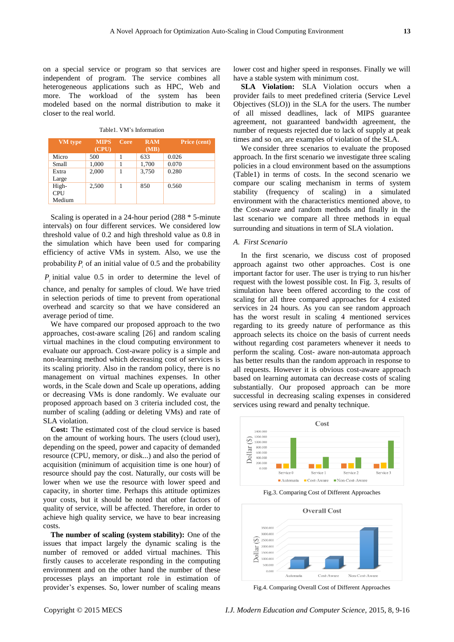on a special service or program so that services are independent of program. The service combines all heterogeneous applications such as HPC, Web and more. The workload of the system has been modeled based on the normal distribution to make it closer to the real world.

| Table1. VM's Information |
|--------------------------|
|                          |

| <b>VM</b> type | <b>MIPS</b><br>(CPU) | Core | <b>RAM</b><br>(MB) | Price (cent) |
|----------------|----------------------|------|--------------------|--------------|
| Micro          | 500                  |      | 633                | 0.026        |
| Small          | 1,000                |      | 1,700              | 0.070        |
| Extra          | 2.000                |      | 3.750              | 0.280        |
| Large          |                      |      |                    |              |
| High-          | 2,500                |      | 850                | 0.560        |
| CPU            |                      |      |                    |              |
| Medium         |                      |      |                    |              |

Scaling is operated in a 24-hour period (288 \* 5-minute intervals) on four different services. We considered low threshold value of 0.2 and high threshold value as 0.8 in the simulation which have been used for comparing efficiency of active VMs in system. Also, we use the probability  $P_i$  of an initial value of 0.5 and the probability

 $P_j$  initial value 0.5 in order to determine the level of

chance, and penalty for samples of cloud. We have tried in selection periods of time to prevent from operational overhead and scarcity so that we have considered an average period of time.

We have compared our proposed approach to the two approaches, cost-aware scaling [26] and random scaling virtual machines in the cloud computing environment to evaluate our approach. Cost-aware policy is a simple and non-learning method which decreasing cost of services is its scaling priority. Also in the random policy, there is no management on virtual machines expenses. In other words, in the Scale down and Scale up operations, adding or decreasing VMs is done randomly. We evaluate our proposed approach based on 3 criteria included cost, the number of scaling (adding or deleting VMs) and rate of SLA violation.

**Cost:** The estimated cost of the cloud service is based on the amount of working hours. The users (cloud user), depending on the speed, power and capacity of demanded resource (CPU, memory, or disk...) and also the period of acquisition (minimum of acquisition time is one hour) of resource should pay the cost. Naturally, our costs will be lower when we use the resource with lower speed and capacity, in shorter time. Perhaps this attitude optimizes your costs, but it should be noted that other factors of quality of service, will be affected. Therefore, in order to achieve high quality service, we have to bear increasing costs.

**The number of scaling (system stability):** One of the issues that impact largely the dynamic scaling is the number of removed or added virtual machines. This firstly causes to accelerate responding in the computing environment and on the other hand the number of these processes plays an important role in estimation of provider's expenses. So, lower number of scaling means lower cost and higher speed in responses. Finally we will have a stable system with minimum cost.

**SLA Violation:** SLA Violation occurs when a provider fails to meet predefined criteria (Service Level Objectives (SLO)) in the SLA for the users. The number of all missed deadlines, lack of MIPS guarantee agreement, not guaranteed bandwidth agreement, the number of requests rejected due to lack of supply at peak times and so on, are examples of violation of the SLA.

We consider three scenarios to evaluate the proposed approach. In the first scenario we investigate three scaling policies in a cloud environment based on the assumptions (Table1) in terms of costs. In the second scenario we compare our scaling mechanism in terms of system stability (frequency of scaling) in a simulated environment with the characteristics mentioned above, to the Cost-aware and random methods and finally in the last scenario we compare all three methods in equal surrounding and situations in term of SLA violation.

## *A. First Scenario*

In the first scenario, we discuss cost of proposed approach against two other approaches. Cost is one important factor for user. The user is trying to run his/her request with the lowest possible cost. In Fig. 3, results of simulation have been offered according to the cost of scaling for all three compared approaches for 4 existed services in 24 hours. As you can see random approach has the worst result in scaling 4 mentioned services regarding to its greedy nature of performance as this approach selects its choice on the basis of current needs without regarding cost parameters whenever it needs to perform the scaling. Cost- aware non-automata approach has better results than the random approach in response to all requests. However it is obvious cost-aware approach based on learning automata can decrease costs of scaling substantially. Our proposed approach can be more successful in decreasing scaling expenses in considered services using reward and penalty technique.



Fig.3. Comparing Cost of Different Approaches



Fig.4. Comparing Overall Cost of Different Approaches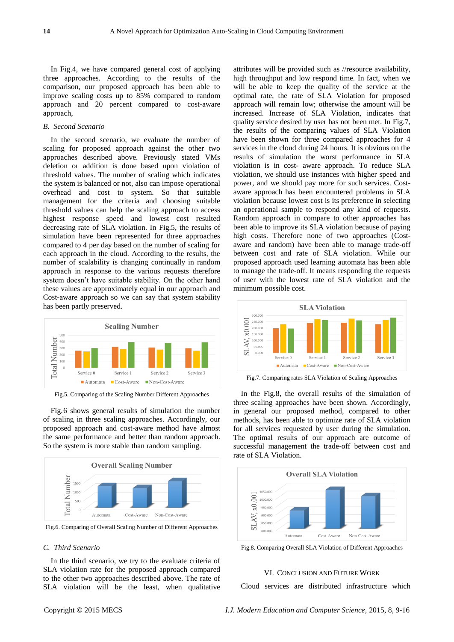In Fig.4, we have compared general cost of applying three approaches. According to the results of the comparison, our proposed approach has been able to improve scaling costs up to 85% compared to random approach and 20 percent compared to cost-aware approach,

# *B. Second Scenario*

In the second scenario, we evaluate the number of scaling for proposed approach against the other two approaches described above. Previously stated VMs deletion or addition is done based upon violation of threshold values. The number of scaling which indicates the system is balanced or not, also can impose operational overhead and cost to system. So that suitable management for the criteria and choosing suitable threshold values can help the scaling approach to access highest response speed and lowest cost resulted decreasing rate of SLA violation. In Fig.5, the results of simulation have been represented for three approaches compared to 4 per day based on the number of scaling for each approach in the cloud. According to the results, the number of scalability is changing continually in random approach in response to the various requests therefore system doesn't have suitable stability. On the other hand these values are approximately equal in our approach and Cost-aware approach so we can say that system stability has been partly preserved.



Fig.5. Comparing of the Scaling Number Different Approaches

Fig.6 shows general results of simulation the number of scaling in three scaling approaches. Accordingly, our proposed approach and cost-aware method have almost the same performance and better than random approach. So the system is more stable than random sampling.



Fig.6. Comparing of Overall Scaling Number of Different Approaches

# *C. Third Scenario*

In the third scenario, we try to the evaluate criteria of SLA violation rate for the proposed approach compared to the other two approaches described above. The rate of SLA violation will be the least, when qualitative

attributes will be provided such as //resource availability, high throughput and low respond time. In fact, when we will be able to keep the quality of the service at the optimal rate, the rate of SLA Violation for proposed approach will remain low; otherwise the amount will be increased. Increase of SLA Violation, indicates that quality service desired by user has not been met. In Fig.7, the results of the comparing values of SLA Violation have been shown for three compared approaches for 4 services in the cloud during 24 hours. It is obvious on the results of simulation the worst performance in SLA violation is in cost- aware approach. To reduce SLA violation, we should use instances with higher speed and power, and we should pay more for such services. Costaware approach has been encountered problems in SLA violation because lowest cost is its preference in selecting an operational sample to respond any kind of requests. Random approach in compare to other approaches has been able to improve its SLA violation because of paying high costs. Therefore none of two approaches (Costaware and random) have been able to manage trade-off between cost and rate of SLA violation. While our proposed approach used learning automata has been able to manage the trade-off. It means responding the requests of user with the lowest rate of SLA violation and the minimum possible cost.



Fig.7. Comparing rates SLA Violation of Scaling Approaches

In the Fig.8, the overall results of the simulation of three scaling approaches have been shown. Accordingly, in general our proposed method, compared to other methods, has been able to optimize rate of SLA violation for all services requested by user during the simulation. The optimal results of our approach are outcome of successful management the trade-off between cost and rate of SLA Violation.



Fig.8. Comparing Overall SLA Violation of Different Approaches

# VI. CONCLUSION AND FUTURE WORK

Cloud services are distributed infrastructure which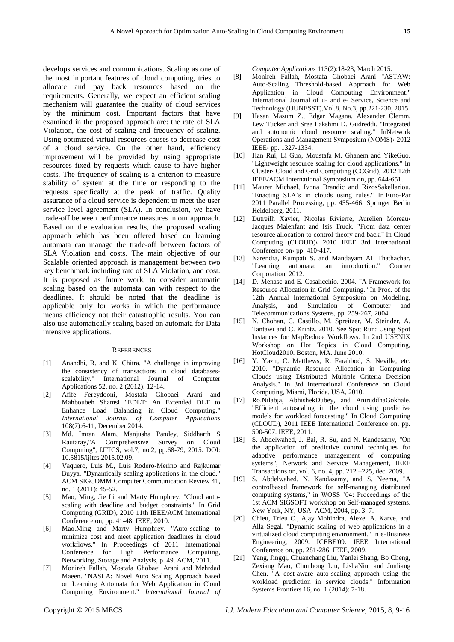develops services and communications. Scaling as one of the most important features of cloud computing, tries to allocate and pay back resources based on the requirements. Generally, we expect an efficient scaling mechanism will guarantee the quality of cloud services by the minimum cost. Important factors that have examined in the proposed approach are: the rate of SLA Violation, the cost of scaling and frequency of scaling. Using optimized virtual resources causes to decrease cost of a cloud service. On the other hand, efficiency improvement will be provided by using appropriate resources fixed by requests which cause to have higher costs. The frequency of scaling is a criterion to measure stability of system at the time or responding to the requests specifically at the peak of traffic. Quality assurance of a cloud service is dependent to meet the user service level agreement (SLA). In conclusion, we have trade-off between performance measures in our approach. Based on the evaluation results, the proposed scaling approach which has been offered based on learning automata can manage the trade-off between factors of SLA Violation and costs. The main objective of our Scalable oriented approach is management between two key benchmark including rate of SLA Violation, and cost. It is proposed as future work, to consider automatic scaling based on the automata can with respect to the deadlines. It should be noted that the deadline is applicable only for works in which the performance means efficiency not their catastrophic results. You can also use automatically scaling based on automata for Data intensive applications.

#### **REFERENCES**

- [1] Anandhi, R. and K. Chitra. "A challenge in improving the consistency of transactions in cloud databasesscalability." International Journal of Computer Applications 52, no. 2 (2012): 12-14.
- [2] Afife Fereydooni, Mostafa Ghobaei Arani and Mahboubeh Shamsi "EDLT: An Extended DLT to Enhance Load Balancing in Cloud Computing." *International Journal of Computer Applications* 108(7):6-11, December 2014.
- [3] Md. Imran Alam, Manjusha Pandey, Siddharth S Rautaray,"A Comprehensive Survey on Cloud Computing", IJITCS, vol.7, no.2, pp.68-79, 2015. DOI: 10.5815/ijitcs.2015.02.09.
- [4] Vaquero, Luis M., Luis Rodero-Merino and Rajkumar Buyya. "Dynamically scaling applications in the cloud." ACM SIGCOMM Computer Communication Review 41, no. 1 (2011): 45-52.
- [5] Mao, Ming, Jie Li and Marty Humphrey. "Cloud autoscaling with deadline and budget constraints." In Grid Computing (GRID), 2010 11th IEEE/ACM International Conference on, pp. 41-48. IEEE, 2010.
- [6] Mao.Ming and Marty Humphrey. "Auto-scaling to minimize cost and meet application deadlines in cloud workflows." In Proceedings of 2011 International Conference for High Performance Computing, Networking, Storage and Analysis, p. 49. ACM, 2011.
- [7] Monireh Fallah, Mostafa Ghobaei Arani and Mehrdad Maeen. "NASLA: Novel Auto Scaling Approach based on Learning Automata for Web Application in Cloud Computing Environment." *International Journal of*

*Computer Applications* 113(2):18-23, March 2015.

- [8] Monireh Fallah, Mostafa Ghobaei Arani "ASTAW: Auto-Scaling Threshold-based Approach for Web Application in Cloud Computing Environment." International Journal of u- and e- Service, Science and Technology (IJUNESST),Vol.8, No.3, pp.221-230, 2015.
- [9] Hasan Masum Z., Edgar Magana, Alexander Clemm, Lew Tucker and Sree Lakshmi D. Gudreddi. "Integrated and autonomic cloud resource scaling." InNetwork Operations and Management Symposium (NOMS)، 2012 IEEE، pp. 1327-1334.
- [10] Han Rui, Li Guo, Moustafa M. Ghanem and YikeGuo. "Lightweight resource scaling for cloud applications." In Cluster، Cloud and Grid Computing (CCGrid), 2012 12th IEEE/ACM International Symposium on, pp. 644-651.
- [11] Maurer Michael, Ivona Brandic and RizosSakellariou. "Enacting SLA's in clouds using rules." In Euro-Par 2011 Parallel Processing, pp. 455-466. Springer Berlin Heidelberg, 2011.
- [12] Dutreilh Xavier, Nicolas Rivierre, Aurélien Moreau Jacques Malenfant and Isis Truck. "From data center resource allocation to control theory and back." In Cloud Computing (CLOUD)، 2010 IEEE 3rd International Conference on  $\epsilon$  pp. 410-417.
- [13] Narendra, Kumpati S. and Mandayam AL Thathachar. "Learning automata: an introduction." Courier Corporation, 2012.
- [14] D. Menasc and E. Casalicchio. 2004. "A Framework for Resource Allocation in Grid Computing." In Proc. of the 12th Annual International Symposium on Modeling, Analysis, and Simulation of Computer and Telecommunications Systems, pp. 259-267, 2004.
- [15] N. Chohan, C. Castillo, M. Spreitzer, M. Steinder, A. Tantawi and C. Krintz. 2010. See Spot Run: Using Spot Instances for MapReduce Workflows. In 2nd USENIX Workshop on Hot Topics in Cloud Computing, HotCloud2010. Boston, MA. June 2010.
- [16] Y. Yazir, C. Matthews, R. Farahbod, S. Neville, etc. 2010. "Dynamic Resource Allocation in Computing Clouds using Distributed Multiple Criteria Decision Analysis." In 3rd International Conference on Cloud Computing, Miami, Florida, USA, 2010.
- [17] Ro.Nilabja, AbhishekDubey, and AniruddhaGokhale. "Efficient autoscaling in the cloud using predictive models for workload forecasting." In Cloud Computing (CLOUD), 2011 IEEE International Conference on, pp. 500-507. IEEE, 2011.
- [18] S. Abdelwahed, J. Bai, R. Su, and N. Kandasamy, "On the application of predictive control techniques for adaptive performance management of computing systems", Network and Service Management, IEEE Transactions on, vol. 6, no. 4, pp. 212 –225, dec. 2009.
- [19] S. Abdelwahed, N. Kandasamy, and S. Neema, "A controlbased framework for self-managing distributed computing systems," in WOSS '04: Proceedings of the 1st ACM SIGSOFT workshop on Self-managed systems. New York, NY, USA: ACM, 2004, pp. 3–7.
- [20] Chieu, Trieu C., Ajay Mohindra, Alexei A. Karve, and Alla Segal. "Dynamic scaling of web applications in a virtualized cloud computing environment." In e-Business Engineering, 2009. ICEBE'09. IEEE International Conference on, pp. 281-286. IEEE, 2009.
- [21] Yang, Jingqi, Chuanchang Liu, Yanlei Shang, Bo Cheng, Zexiang Mao, Chunhong Liu, LishaNiu, and Junliang Chen. "A cost-aware auto-scaling approach using the workload prediction in service clouds." Information Systems Frontiers 16, no. 1 (2014): 7-18.